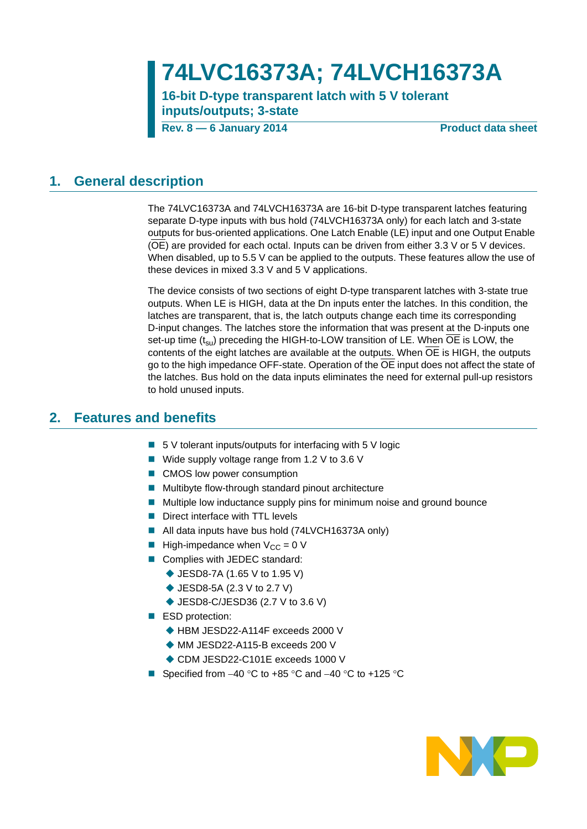# **74LVC16373A; 74LVCH16373A**

**16-bit D-type transparent latch with 5 V tolerant inputs/outputs; 3-state**

**Rev. 8 — 6 January 2014 Product data sheet**

### <span id="page-0-0"></span>**1. General description**

The 74LVC16373A and 74LVCH16373A are 16-bit D-type transparent latches featuring separate D-type inputs with bus hold (74LVCH16373A only) for each latch and 3-state outputs for bus-oriented applications. One Latch Enable (LE) input and one Output Enable (OE) are provided for each octal. Inputs can be driven from either 3.3 V or 5 V devices. When disabled, up to 5.5 V can be applied to the outputs. These features allow the use of these devices in mixed 3.3 V and 5 V applications.

The device consists of two sections of eight D-type transparent latches with 3-state true outputs. When LE is HIGH, data at the Dn inputs enter the latches. In this condition, the latches are transparent, that is, the latch outputs change each time its corresponding D-input changes. The latches store the information that was present at the D-inputs one set-up time (t<sub>su</sub>) preceding the HIGH-to-LOW transition of LE. When OE is LOW, the contents of the eight latches are available at the outputs. When  $\overline{OE}$  is HIGH, the outputs go to the high impedance OFF-state. Operation of the OE input does not affect the state of the latches. Bus hold on the data inputs eliminates the need for external pull-up resistors to hold unused inputs.

### <span id="page-0-1"></span>**2. Features and benefits**

- $\blacksquare$  5 V tolerant inputs/outputs for interfacing with 5 V logic
- Wide supply voltage range from 1.2 V to 3.6 V
- CMOS low power consumption
- **Multibyte flow-through standard pinout architecture**
- Multiple low inductance supply pins for minimum noise and ground bounce
- Direct interface with TTL levels
- All data inputs have bus hold (74LVCH16373A only)
- **High-impedance when**  $V_{CC} = 0$  **V**
- Complies with JEDEC standard:
	- ◆ JESD8-7A (1.65 V to 1.95 V)
	- ◆ JESD8-5A (2.3 V to 2.7 V)
	- ◆ JESD8-C/JESD36 (2.7 V to 3.6 V)
- ESD protection:
	- ◆ HBM JESD22-A114F exceeds 2000 V
	- ◆ MM JESD22-A115-B exceeds 200 V
	- ◆ CDM JESD22-C101E exceeds 1000 V
- Specified from  $-40$  °C to +85 °C and  $-40$  °C to +125 °C

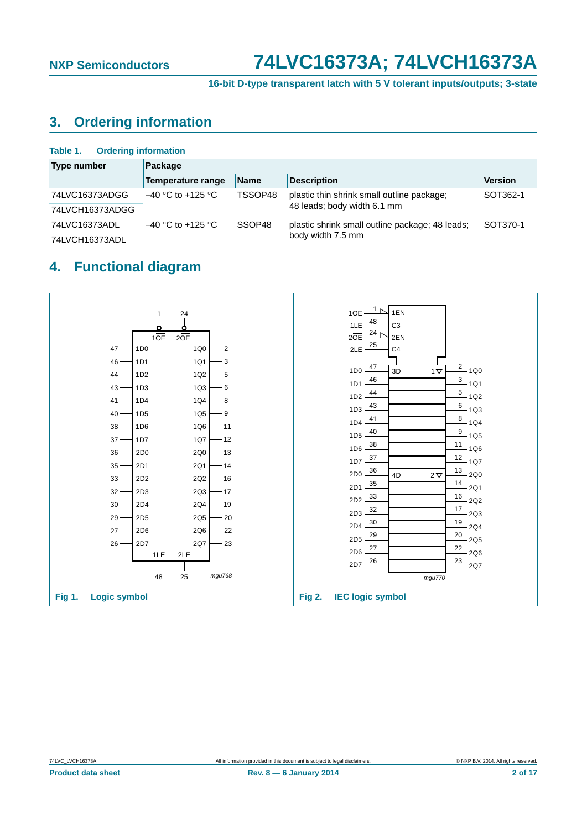**16-bit D-type transparent latch with 5 V tolerant inputs/outputs; 3-state**

### <span id="page-1-0"></span>**3. Ordering information**

| <b>Ordering information</b><br>Table 1. |                     |             |                                                 |          |
|-----------------------------------------|---------------------|-------------|-------------------------------------------------|----------|
| Type number                             | Package             |             |                                                 |          |
|                                         | Temperature range   | <b>Name</b> | <b>Description</b>                              | Version  |
| 74LVC16373ADGG                          | $-40$ °C to +125 °C | TSSOP48     | plastic thin shrink small outline package;      | SOT362-1 |
| 74LVCH16373ADGG                         |                     |             | 48 leads; body width 6.1 mm                     |          |
| 74LVC16373ADL                           | $-40$ °C to +125 °C | SSOP48      | plastic shrink small outline package; 48 leads; | SOT370-1 |
| 74LVCH16373ADL                          |                     |             | body width 7.5 mm                               |          |

# <span id="page-1-1"></span>**4. Functional diagram**

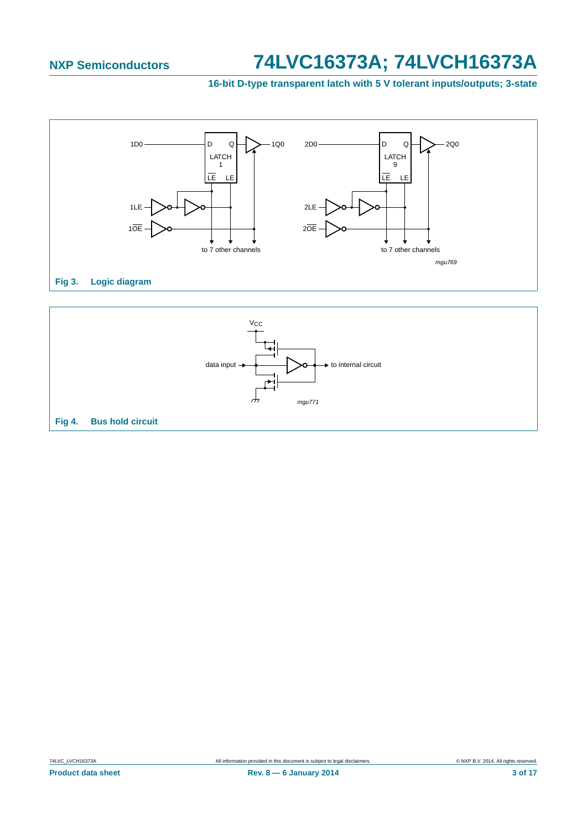**16-bit D-type transparent latch with 5 V tolerant inputs/outputs; 3-state**



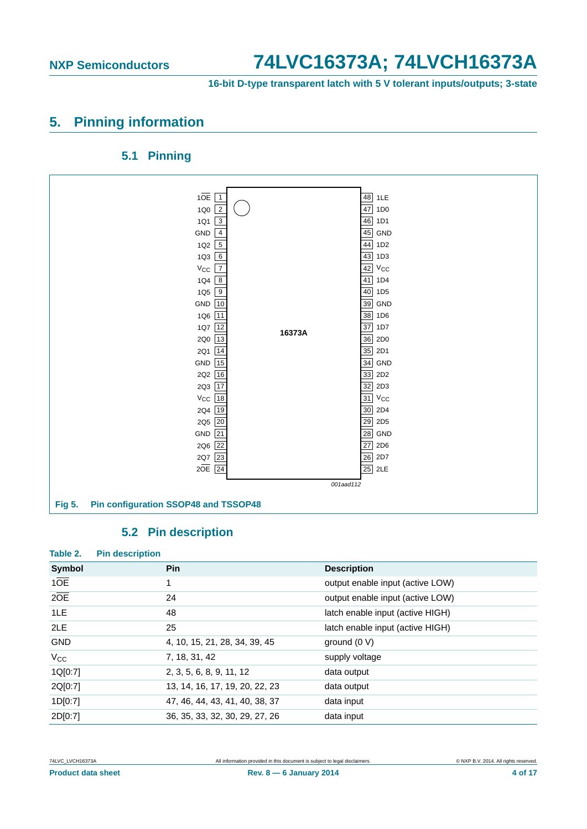**16-bit D-type transparent latch with 5 V tolerant inputs/outputs; 3-state**

## <span id="page-3-0"></span>**5. Pinning information**

### **5.1 Pinning**

<span id="page-3-1"></span>

### **5.2 Pin description**

<span id="page-3-2"></span>

| Table 2.         | <b>Pin description</b> |                                |                                  |
|------------------|------------------------|--------------------------------|----------------------------------|
| <b>Symbol</b>    |                        | <b>Pin</b>                     | <b>Description</b>               |
| 10E              |                        | 1                              | output enable input (active LOW) |
| $2\overline{OE}$ |                        | 24                             | output enable input (active LOW) |
| 1LE              |                        | 48                             | latch enable input (active HIGH) |
| 2LE              |                        | 25                             | latch enable input (active HIGH) |
| <b>GND</b>       |                        | 4, 10, 15, 21, 28, 34, 39, 45  | ground $(0 V)$                   |
| $V_{\rm CC}$     |                        | 7, 18, 31, 42                  | supply voltage                   |
| 1Q[0:7]          |                        | 2, 3, 5, 6, 8, 9, 11, 12       | data output                      |
| 2Q[0:7]          |                        | 13, 14, 16, 17, 19, 20, 22, 23 | data output                      |
| 1D[0:7]          |                        | 47, 46, 44, 43, 41, 40, 38, 37 | data input                       |
| 2D[0:7]          |                        | 36, 35, 33, 32, 30, 29, 27, 26 | data input                       |

<sup>74</sup>LVC\_LVCH16373A All information provided in this document is subject to legal disclaimers. © NXP B.V. 2014. All rights reserved.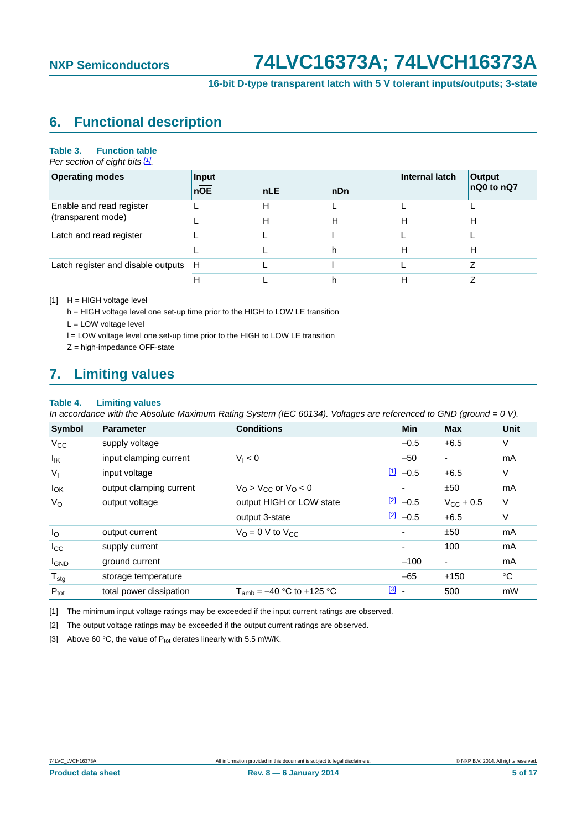**16-bit D-type transparent latch with 5 V tolerant inputs/outputs; 3-state**

## <span id="page-4-4"></span>**6. Functional description**

#### **Table 3. Function table**

*Per section of eight bits [\[1\]](#page-4-0).*

| <b>Operating modes</b>               | Input      |            | Internal latch | Output |            |
|--------------------------------------|------------|------------|----------------|--------|------------|
|                                      | <b>nOE</b> | <b>nLE</b> | nDn            |        | nQ0 to nQ7 |
| Enable and read register             |            | н          |                |        |            |
| (transparent mode)                   |            | н          | н              | н      | н          |
| Latch and read register              |            |            |                |        |            |
|                                      |            |            |                | н      | н          |
| Latch register and disable outputs H |            |            |                |        |            |
|                                      | Н          |            |                | Н      |            |

<span id="page-4-0"></span>[1] H = HIGH voltage level

h = HIGH voltage level one set-up time prior to the HIGH to LOW LE transition

L = LOW voltage level

l = LOW voltage level one set-up time prior to the HIGH to LOW LE transition

Z = high-impedance OFF-state

### <span id="page-4-5"></span>**7. Limiting values**

#### **Table 4. Limiting values**

*In accordance with the Absolute Maximum Rating System (IEC 60134). Voltages are referenced to GND (ground = 0 V).*

| <b>Symbol</b>    | <b>Parameter</b>        | <b>Conditions</b>                                  | <b>Min</b>                              | <b>Max</b>               | Unit |
|------------------|-------------------------|----------------------------------------------------|-----------------------------------------|--------------------------|------|
| $V_{\rm CC}$     | supply voltage          |                                                    | $-0.5$                                  | $+6.5$                   | V    |
| $I_{IK}$         | input clamping current  | $V_1 < 0$                                          | $-50$                                   | $\overline{\phantom{a}}$ | mA   |
| $V_{I}$          | input voltage           |                                                    | $\boxed{1}$<br>$-0.5$                   | $+6.5$                   | V    |
| $I_{OK}$         | output clamping current | $V_{\Omega}$ > $V_{\text{CC}}$ or $V_{\Omega}$ < 0 | $\overline{\phantom{a}}$                | ±50                      | mA   |
| $V_{\rm O}$      | output voltage          | output HIGH or LOW state                           | $\frac{[2]}{[2]}$ -0.5                  | $V_{\rm CC}$ + 0.5       | V    |
|                  |                         | output 3-state                                     | $\boxed{2}$<br>$-0.5$                   | $+6.5$                   | V    |
| $I_{\rm O}$      | output current          | $V_{\Omega} = 0$ V to $V_{\Omega}$                 | ٠                                       | ±50                      | mA   |
| $_{\rm{lcc}}$    | supply current          |                                                    | $\overline{\phantom{a}}$                | 100                      | mA   |
| <b>I</b> GND     | ground current          |                                                    | $-100$                                  | $\overline{\phantom{a}}$ | mA   |
| $T_{\text{stg}}$ | storage temperature     |                                                    | $-65$                                   | $+150$                   | °C   |
| $P_{\text{tot}}$ | total power dissipation | $T_{amb}$ = -40 °C to +125 °C                      | $\boxed{3}$<br>$\overline{\phantom{a}}$ | 500                      | mW   |

<span id="page-4-1"></span>[1] The minimum input voltage ratings may be exceeded if the input current ratings are observed.

<span id="page-4-2"></span>[2] The output voltage ratings may be exceeded if the output current ratings are observed.

<span id="page-4-3"></span>[3] Above 60 °C, the value of  $P_{tot}$  derates linearly with 5.5 mW/K.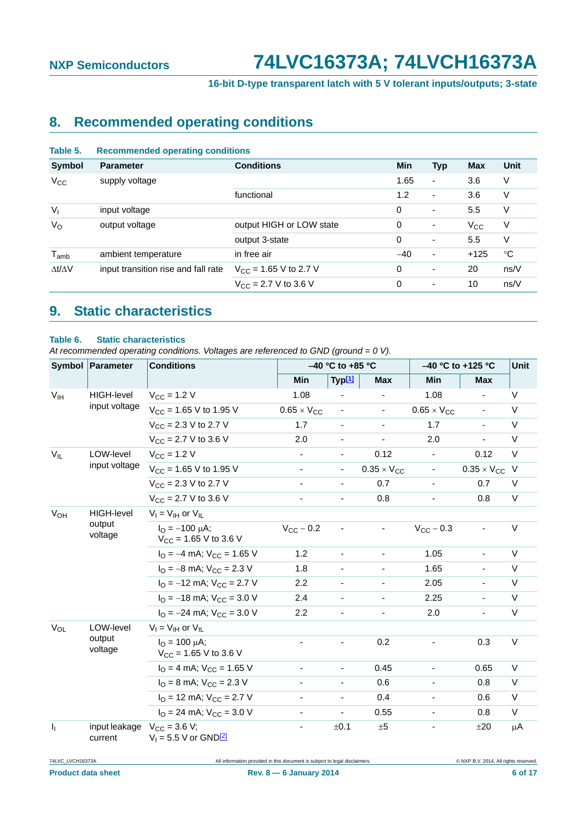**16-bit D-type transparent latch with 5 V tolerant inputs/outputs; 3-state**

# <span id="page-5-2"></span>**8. Recommended operating conditions**

<span id="page-5-0"></span>

| Table 5.                       | <b>Recommended operating conditions</b> |                                |       |            |              |             |  |
|--------------------------------|-----------------------------------------|--------------------------------|-------|------------|--------------|-------------|--|
| <b>Symbol</b>                  | <b>Parameter</b>                        | <b>Conditions</b>              | Min   | <b>Typ</b> | <b>Max</b>   | Unit        |  |
| $V_{\rm CC}$<br>supply voltage |                                         |                                | 1.65  | ۰          | 3.6          | ٧           |  |
|                                |                                         | functional                     | 1.2   | ٠          | 3.6          | V           |  |
| $V_{1}$                        | input voltage                           |                                | 0     | ٠          | 5.5          | V           |  |
| $V_{\rm O}$                    | output voltage                          | output HIGH or LOW state       | 0     | ٠          | $V_{\rm CC}$ | V           |  |
|                                |                                         | output 3-state                 | 0     | ٠          | 5.5          | V           |  |
| $T_{amb}$                      | ambient temperature                     | in free air                    | $-40$ | ٠          | $+125$       | $^{\circ}C$ |  |
| $\Delta t/\Delta V$            | input transition rise and fall rate     | $V_{\rm CC}$ = 1.65 V to 2.7 V | 0     | ٠          | 20           | ns/V        |  |
|                                |                                         | $V_{\rm CC}$ = 2.7 V to 3.6 V  | 0     | ٠          | 10           | ns/V        |  |
|                                |                                         |                                |       |            |              |             |  |

### <span id="page-5-3"></span>**9. Static characteristics**

#### <span id="page-5-1"></span>**Table 6. Static characteristics**

*At recommended operating conditions. Voltages are referenced to GND (ground = 0 V).*

|                       | Symbol Parameter                            | <b>Conditions</b>                                                 |                              | $-40$ °C to +85 °C       |                          | –40 °C to +125 °C        | <b>Unit</b>              |         |
|-----------------------|---------------------------------------------|-------------------------------------------------------------------|------------------------------|--------------------------|--------------------------|--------------------------|--------------------------|---------|
|                       |                                             |                                                                   | Min                          | Typ[1]                   | <b>Max</b>               | Min                      | <b>Max</b>               |         |
| V <sub>IH</sub>       | HIGH-level                                  | $V_{CC}$ = 1.2 V                                                  | 1.08                         |                          |                          | 1.08                     |                          | V       |
|                       | input voltage                               | $V_{CC}$ = 1.65 V to 1.95 V                                       | $0.65 \times V_{CC}$         | $\frac{1}{2}$            | ÷.                       | $0.65 \times V_{CC}$     | $\overline{\phantom{a}}$ | V       |
|                       |                                             | $V_{CC}$ = 2.3 V to 2.7 V                                         | 1.7                          | $\overline{\phantom{a}}$ | $\overline{\phantom{0}}$ | 1.7                      | $\blacksquare$           | V       |
|                       |                                             | $V_{CC}$ = 2.7 V to 3.6 V                                         | 2.0                          |                          |                          | 2.0                      |                          | V       |
| $V_{IL}$              | LOW-level<br>input voltage                  | $V_{\rm CC} = 1.2 V$                                              |                              |                          | 0.12                     | $\blacksquare$           | 0.12                     | V       |
|                       |                                             | $V_{CC}$ = 1.65 V to 1.95 V                                       |                              | ۰.                       | $0.35 \times V_{CC}$     | $\overline{\phantom{a}}$ | $0.35 \times V_{CC}$     | V       |
|                       |                                             | $V_{CC}$ = 2.3 V to 2.7 V                                         | $\overline{\phantom{a}}$     | $\blacksquare$           | 0.7                      | $\blacksquare$           | 0.7                      | V       |
|                       | $V_{CC}$ = 2.7 V to 3.6 V                   | $\overline{\phantom{a}}$                                          | $\blacksquare$               | 0.8                      | $\overline{\phantom{a}}$ | 0.8                      | V                        |         |
| <b>V<sub>OH</sub></b> | <b>HIGH-level</b><br>output<br>voltage      | $V_I = V_{IH}$ or $V_{IL}$                                        |                              |                          |                          |                          |                          |         |
|                       |                                             | $I_{\Omega} = -100 \mu A$ ;<br>$V_{\text{CC}}$ = 1.65 V to 3.6 V  | $V_{CC}$ – 0.2               |                          | $\overline{\phantom{0}}$ | $V_{CC}$ – 0.3           | $\overline{\phantom{a}}$ | $\vee$  |
|                       |                                             | $I_{\Omega}$ = -4 mA; $V_{\text{CC}}$ = 1.65 V                    | 1.2                          | ä,                       | $\frac{1}{2}$            | 1.05                     | $\blacksquare$           | $\vee$  |
|                       |                                             | $I_{\Omega}$ = -8 mA; $V_{\text{CC}}$ = 2.3 V                     | 1.8                          | ÷,                       | $\frac{1}{2}$            | 1.65                     | $\blacksquare$           | $\vee$  |
|                       |                                             | $I_{\text{O}} = -12 \text{ mA}$ ; $V_{\text{CC}} = 2.7 \text{ V}$ | 2.2                          | $\overline{\phantom{a}}$ | $\overline{\phantom{a}}$ | 2.05                     | $\overline{\phantom{a}}$ | V       |
|                       |                                             | $I_{\text{O}} = -18 \text{ mA}$ ; $V_{\text{CC}} = 3.0 \text{ V}$ | 2.4                          |                          |                          | 2.25                     | $\overline{\phantom{a}}$ | V       |
|                       |                                             | $I_{\text{O}} = -24 \text{ mA}$ ; $V_{\text{CC}} = 3.0 \text{ V}$ | 2.2                          |                          |                          | 2.0                      | $\overline{\phantom{a}}$ | $\vee$  |
| $V_{OL}$              | LOW-level                                   | $V_I = V_{IH}$ or $V_{IL}$                                        |                              |                          |                          |                          |                          |         |
|                       | output<br>voltage                           | $I_{\Omega} = 100 \mu A;$<br>$V_{CC}$ = 1.65 V to 3.6 V           |                              |                          | 0.2                      | $\blacksquare$           | 0.3                      | V       |
|                       |                                             | $IO = 4 mA$ ; $VCC = 1.65 V$                                      | -                            | $\overline{\phantom{0}}$ | 0.45                     | $\overline{\phantom{a}}$ | 0.65                     | V       |
|                       |                                             | $I_{\text{O}} = 8 \text{ mA}$ ; $V_{\text{CC}} = 2.3 \text{ V}$   |                              | $\overline{\phantom{a}}$ | 0.6                      | $\overline{\phantom{a}}$ | 0.8                      | V       |
|                       |                                             | $IO$ = 12 mA; $VCC$ = 2.7 V                                       | $\qquad \qquad \blacksquare$ | ۰.                       | 0.4                      | $\blacksquare$           | 0.6                      | V       |
|                       |                                             | $I_{\text{O}} = 24 \text{ mA}$ ; $V_{\text{CC}} = 3.0 \text{ V}$  |                              |                          | 0.55                     |                          | 0.8                      | $\vee$  |
| $I_1$                 | input leakage $V_{CC} = 3.6 V$ ;<br>current | $V_1 = 5.5 V$ or GND[2]                                           | -                            | ±0.1                     | ±5                       |                          | ±20                      | $\mu$ A |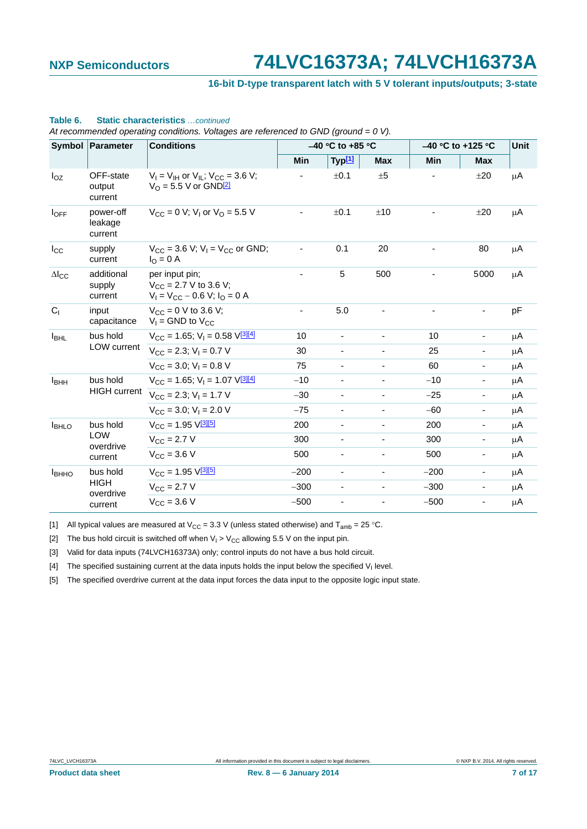#### **16-bit D-type transparent latch with 5 V tolerant inputs/outputs; 3-state**

|                         | Symbol Parameter                | <b>Conditions</b>                                                                            |                          | $-40$ °C to +85 °C       |                          |        | -40 °C to +125 °C            |         |  |
|-------------------------|---------------------------------|----------------------------------------------------------------------------------------------|--------------------------|--------------------------|--------------------------|--------|------------------------------|---------|--|
|                         |                                 |                                                                                              | Min                      | Typ <sup>[1]</sup>       | <b>Max</b>               | Min    | <b>Max</b>                   |         |  |
| $I_{OZ}$                | OFF-state<br>output<br>current  | $V_I = V_{IH}$ or $V_{IL}$ ; $V_{CC} = 3.6$ V;<br>$V_{\Omega}$ = 5.5 V or GND <sup>[2]</sup> |                          | ±0.1                     | ±5                       |        | ±20                          | $\mu$ A |  |
| $I_{OFF}$               | power-off<br>leakage<br>current | $V_{\rm CC} = 0$ V; V <sub>1</sub> or V <sub>O</sub> = 5.5 V                                 |                          | ±0.1                     | ±10                      |        | ±20                          | $\mu$ A |  |
| $I_{\rm CC}$            | supply<br>current               | $V_{CC}$ = 3.6 V; V <sub>1</sub> = V <sub>CC</sub> or GND;<br>$I_{\Omega} = 0$ A             |                          | 0.1                      | 20                       |        | 80                           | $\mu$ A |  |
| $\Delta I_{\text{CC}}$  | additional<br>supply<br>current | per input pin:<br>$V_{CC}$ = 2.7 V to 3.6 V;<br>$V_1 = V_{CC} - 0.6 V$ ; $I_0 = 0 A$         |                          | 5                        | 500                      |        | 5000                         | μA      |  |
| C <sub>1</sub>          | input<br>capacitance            | $V_{CC} = 0$ V to 3.6 V;<br>$V_1$ = GND to $V_{CC}$                                          | $\overline{\phantom{a}}$ | 5.0                      |                          |        |                              | pF      |  |
| <b>I</b> BHL            | bus hold                        | $V_{CC}$ = 1.65; $V_1$ = 0.58 $V_1^{\text{3}14}$                                             | 10                       | $\blacksquare$           | $\overline{\phantom{a}}$ | 10     | $\qquad \qquad \blacksquare$ | μA      |  |
|                         | LOW current                     | $V_{\text{CC}} = 2.3$ ; $V_{\text{I}} = 0.7$ V                                               | 30                       | $\blacksquare$           | $\overline{\phantom{a}}$ | 25     | $\blacksquare$               | $\mu$ A |  |
|                         |                                 | $V_{\text{CC}} = 3.0$ ; $V_{\text{I}} = 0.8$ V                                               | 75                       | $\overline{\phantom{a}}$ | $\overline{\phantom{a}}$ | 60     | $\overline{\phantom{a}}$     | μA      |  |
| <b>I</b> <sub>BHH</sub> | bus hold                        | $V_{CC}$ = 1.65; $V_1$ = 1.07 $V_1^{\text{3}[[4]}$                                           | $-10$                    | $\overline{\phantom{a}}$ | $\overline{\phantom{a}}$ | $-10$  | $\qquad \qquad \blacksquare$ | μA      |  |
|                         | <b>HIGH</b> current             | $V_{\text{CC}} = 2.3$ ; $V_{\text{I}} = 1.7$ V                                               | $-30$                    | $\overline{\phantom{a}}$ | $\overline{\phantom{a}}$ | $-25$  | $\overline{\phantom{a}}$     | μA      |  |
|                         |                                 | $V_{CC}$ = 3.0: $V_1$ = 2.0 V                                                                | $-75$                    | $\overline{\phantom{a}}$ | -                        | $-60$  | ٠                            | μA      |  |
| <b>I</b> BHLO           | bus hold                        | $V_{\text{CC}} = 1.95 \text{ V} \frac{3[5]}{2}$                                              | 200                      | $\overline{\phantom{a}}$ | -                        | 200    | $\qquad \qquad \blacksquare$ | μA      |  |
|                         | <b>LOW</b><br>overdrive         | $V_{\rm CC} = 2.7 V$                                                                         | 300                      | $\overline{\phantom{a}}$ | ٠                        | 300    | $\qquad \qquad \blacksquare$ | μA      |  |
|                         | current                         | $V_{\rm CC} = 3.6 V$                                                                         | 500                      |                          | $\overline{\phantom{a}}$ | 500    | $\qquad \qquad \blacksquare$ | μA      |  |
| <b>I</b> BHHO           | bus hold                        | $V_{CC} = 1.95 V^{3[5]}$                                                                     | $-200$                   | $\blacksquare$           | $\blacksquare$           | $-200$ | $\qquad \qquad \blacksquare$ | μA      |  |
|                         | <b>HIGH</b>                     | $V_{\rm CC} = 2.7 V$                                                                         | $-300$                   | $\overline{\phantom{a}}$ | $\overline{\phantom{a}}$ | $-300$ | $\overline{\phantom{a}}$     | $\mu$ A |  |
| overdrive<br>current    |                                 | $V_{CC} = 3.6 V$                                                                             | $-500$                   | $\overline{\phantom{a}}$ | $\overline{\phantom{a}}$ | $-500$ | $\overline{\phantom{a}}$     | μA      |  |

### **Table 6. Static characteristics** *…continued*

*At recommended operating conditions. Voltages are referenced to GND (ground = 0 V).*

<span id="page-6-0"></span>[1] All typical values are measured at V<sub>CC</sub> = 3.3 V (unless stated otherwise) and T<sub>amb</sub> = 25 °C.

<span id="page-6-1"></span>[2] The bus hold circuit is switched off when  $V_1 > V_{CC}$  allowing 5.5 V on the input pin.

<span id="page-6-2"></span>[3] Valid for data inputs (74LVCH16373A) only; control inputs do not have a bus hold circuit.

<span id="page-6-3"></span>[4] The specified sustaining current at the data inputs holds the input below the specified  $V<sub>1</sub>$  level.

<span id="page-6-4"></span>[5] The specified overdrive current at the data input forces the data input to the opposite logic input state.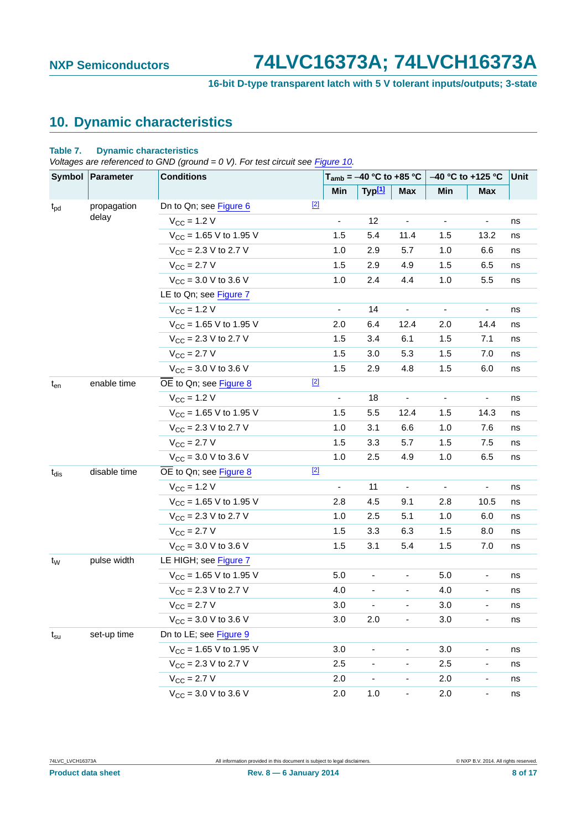**16-bit D-type transparent latch with 5 V tolerant inputs/outputs; 3-state**

# <span id="page-7-1"></span>**10. Dynamic characteristics**

#### <span id="page-7-0"></span>**Table 7. Dynamic characteristics**

*Voltages are referenced to GND (ground = 0 V). For test circuit see [Figure 10](#page-10-0).* 

| Symbol Parameter |              | <b>Conditions</b>           |       | $T_{amb}$ = -40 °C to +85 °C |                              |                          | $-40$ °C to +125 °C      |                              | Unit |
|------------------|--------------|-----------------------------|-------|------------------------------|------------------------------|--------------------------|--------------------------|------------------------------|------|
|                  |              |                             |       | Min                          | Typ[1]                       | <b>Max</b>               | Min                      | Max                          |      |
| $t_{pd}$         | propagation  | Dn to Qn; see Figure 6      | $[2]$ |                              |                              |                          |                          |                              |      |
|                  | delay        | $V_{CC}$ = 1.2 V            |       | $\overline{\phantom{m}}$     | 12                           | $\overline{\phantom{a}}$ | $\overline{\phantom{m}}$ | $\qquad \qquad \blacksquare$ | ns   |
|                  |              | $V_{CC}$ = 1.65 V to 1.95 V |       | 1.5                          | 5.4                          | 11.4                     | 1.5                      | 13.2                         | ns   |
|                  |              | $V_{CC}$ = 2.3 V to 2.7 V   |       | 1.0                          | 2.9                          | 5.7                      | 1.0                      | 6.6                          | ns   |
|                  |              | $V_{CC} = 2.7 V$            |       | 1.5                          | 2.9                          | 4.9                      | 1.5                      | 6.5                          | ns   |
|                  |              | $V_{CC}$ = 3.0 V to 3.6 V   |       | 1.0                          | 2.4                          | 4.4                      | 1.0                      | 5.5                          | ns   |
|                  |              | LE to Qn; see Figure 7      |       |                              |                              |                          |                          |                              |      |
|                  |              | $V_{CC}$ = 1.2 V            |       | $\overline{\phantom{0}}$     | 14                           | $\overline{\phantom{a}}$ | $\overline{\phantom{a}}$ | $\qquad \qquad \blacksquare$ | ns   |
|                  |              | $V_{CC}$ = 1.65 V to 1.95 V |       | 2.0                          | 6.4                          | 12.4                     | 2.0                      | 14.4                         | ns   |
|                  |              | $V_{CC}$ = 2.3 V to 2.7 V   |       | 1.5                          | 3.4                          | 6.1                      | 1.5                      | 7.1                          | ns   |
|                  |              | $V_{CC} = 2.7 V$            |       | 1.5                          | 3.0                          | 5.3                      | 1.5                      | 7.0                          | ns   |
|                  |              | $V_{CC}$ = 3.0 V to 3.6 V   |       | 1.5                          | 2.9                          | 4.8                      | 1.5                      | 6.0                          | ns   |
| $t_{en}$         | enable time  | OE to Qn; see Figure 8      | $[2]$ |                              |                              |                          |                          |                              |      |
|                  |              | $V_{CC}$ = 1.2 V            |       | $\overline{\phantom{0}}$     | 18                           | $\overline{\phantom{a}}$ | $\overline{\phantom{a}}$ | $\overline{\phantom{a}}$     | ns   |
|                  |              | $V_{CC}$ = 1.65 V to 1.95 V |       | 1.5                          | 5.5                          | 12.4                     | 1.5                      | 14.3                         | ns   |
|                  |              | $V_{CC}$ = 2.3 V to 2.7 V   |       | 1.0                          | 3.1                          | 6.6                      | 1.0                      | 7.6                          | ns   |
|                  |              | $V_{CC} = 2.7 V$            |       | 1.5                          | 3.3                          | 5.7                      | 1.5                      | 7.5                          | ns   |
|                  |              | $V_{CC}$ = 3.0 V to 3.6 V   |       | 1.0                          | 2.5                          | 4.9                      | 1.0                      | 6.5                          | ns   |
| $t_{dis}$        | disable time | OE to Qn; see Figure 8      | $[2]$ |                              |                              |                          |                          |                              |      |
|                  |              | $V_{CC}$ = 1.2 V            |       | $\overline{\phantom{0}}$     | 11                           | $\overline{\phantom{a}}$ | $\overline{\phantom{a}}$ | $\overline{\phantom{a}}$     | ns   |
|                  |              | $V_{CC}$ = 1.65 V to 1.95 V |       | 2.8                          | 4.5                          | 9.1                      | 2.8                      | 10.5                         | ns   |
|                  |              | $V_{CC}$ = 2.3 V to 2.7 V   |       | 1.0                          | 2.5                          | 5.1                      | 1.0                      | 6.0                          | ns   |
|                  |              | $V_{CC} = 2.7 V$            |       | 1.5                          | 3.3                          | 6.3                      | 1.5                      | 8.0                          | ns   |
|                  |              | $V_{CC}$ = 3.0 V to 3.6 V   |       | 1.5                          | 3.1                          | 5.4                      | 1.5                      | 7.0                          | ns   |
| t <sub>w</sub>   | pulse width  | LE HIGH; see Figure 7       |       |                              |                              |                          |                          |                              |      |
|                  |              | $V_{CC}$ = 1.65 V to 1.95 V |       | 5.0                          | $\qquad \qquad \blacksquare$ | ۰                        | 5.0                      | $\qquad \qquad \blacksquare$ | ns   |
|                  |              | $V_{CC}$ = 2.3 V to 2.7 V   |       | 4.0                          |                              |                          | 4.0                      |                              | ns   |
|                  |              | $V_{\text{CC}} = 2.7 V$     |       | 3.0                          | -                            | ۰                        | 3.0                      | $\overline{\phantom{a}}$     | ns   |
|                  |              | $V_{CC}$ = 3.0 V to 3.6 V   |       | 3.0                          | 2.0                          |                          | 3.0                      |                              | ns   |
| $t_{\rm su}$     | set-up time  | Dn to LE; see Figure 9      |       |                              |                              |                          |                          |                              |      |
|                  |              | $V_{CC}$ = 1.65 V to 1.95 V |       | 3.0                          |                              |                          | 3.0                      |                              | ns   |
|                  |              | $V_{CC}$ = 2.3 V to 2.7 V   |       | 2.5                          | $\overline{\phantom{0}}$     | -                        | 2.5                      | -                            | ns   |
|                  |              | $V_{CC}$ = 2.7 V            |       | 2.0                          |                              |                          | 2.0                      |                              | ns   |
|                  |              | $V_{CC}$ = 3.0 V to 3.6 V   |       | 2.0                          | 1.0                          | $\overline{\phantom{a}}$ | 2.0                      |                              | ns   |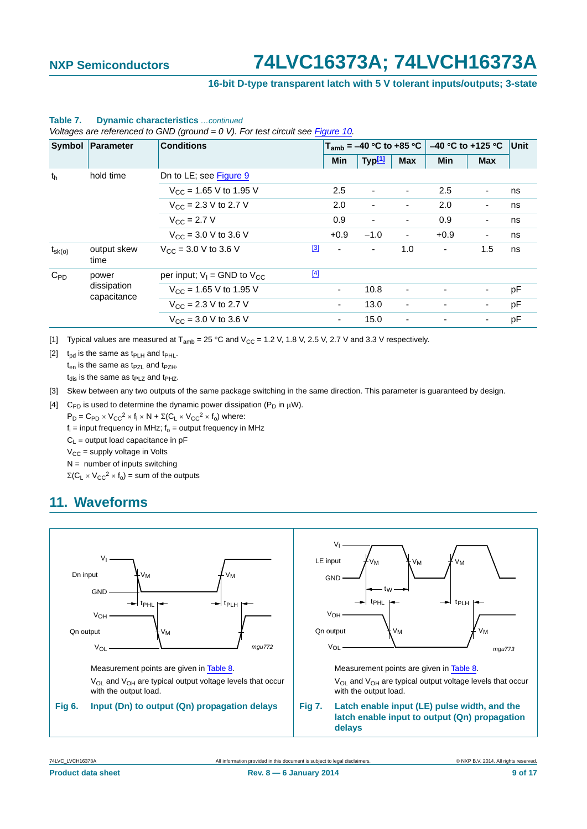#### **16-bit D-type transparent latch with 5 V tolerant inputs/outputs; 3-state**

| Symbol<br>Parameter |                            | <b>Conditions</b>                        |          | $T_{amb} = -40 °C$ to +85 °C |                          |                          | $-40$ °C to +125 °C Unit |                          |    |
|---------------------|----------------------------|------------------------------------------|----------|------------------------------|--------------------------|--------------------------|--------------------------|--------------------------|----|
|                     |                            |                                          |          | <b>Min</b>                   | Typ <b>[1]</b>           | <b>Max</b>               | <b>Min</b>               | <b>Max</b>               |    |
| th                  | hold time                  | Dn to LE; see Figure 9                   |          |                              |                          |                          |                          |                          |    |
|                     |                            | $V_{CC}$ = 1.65 V to 1.95 V              |          | 2.5                          | $\overline{\phantom{a}}$ | $\overline{\phantom{a}}$ | 2.5                      | $\overline{\phantom{a}}$ | ns |
|                     |                            | $V_{\rm CC}$ = 2.3 V to 2.7 V            |          | 2.0                          | $\overline{\phantom{a}}$ | $\overline{\phantom{a}}$ | 2.0                      | ۰                        | ns |
|                     |                            | $V_{C}$ = 2.7 V                          |          | 0.9                          | $\overline{\phantom{a}}$ | $\overline{\phantom{a}}$ | 0.9                      | $\overline{\phantom{a}}$ | ns |
|                     |                            | $V_{CC}$ = 3.0 V to 3.6 V                |          | $+0.9$                       | $-1.0$                   | $\overline{\phantom{a}}$ | $+0.9$                   | $\blacksquare$           | ns |
| $t_{\rm sk(o)}$     | output skew<br>time        | $V_{CC}$ = 3.0 V to 3.6 V                | $^{[3]}$ | $\blacksquare$               | $\blacksquare$           | 1.0                      | $\overline{\phantom{a}}$ | 1.5                      | ns |
| $C_{PD}$            | power                      | per input; $V_1$ = GND to $V_{CC}$       | $[4]$    |                              |                          |                          |                          |                          |    |
|                     | dissipation<br>capacitance | $V_{CC}$ = 1.65 V to 1.95 V              |          |                              | 10.8                     | $\overline{\phantom{a}}$ |                          |                          | pF |
|                     |                            | $V_{\text{CC}} = 2.3 \text{ V}$ to 2.7 V |          | ٠                            | 13.0                     | $\overline{\phantom{a}}$ | ٠                        | ۰                        | pF |
|                     |                            | $V_{\text{CC}} = 3.0 \text{ V}$ to 3.6 V |          | ٠                            | 15.0                     | $\overline{\phantom{a}}$ |                          |                          | рF |

#### **Table 7. Dynamic characteristics** *…continued*

*Voltages are referenced to GND (ground = 0 V). For test circuit see Figure 10.*

<span id="page-8-0"></span>[1] Typical values are measured at  $T_{amb} = 25 \degree C$  and  $V_{CC} = 1.2$  V, 1.8 V, 2.5 V, 2.7 V and 3.3 V respectively.

<span id="page-8-2"></span>[2]  $t_{\text{nd}}$  is the same as  $t_{\text{PI H}}$  and  $t_{\text{PHL}}$ .

 $t_{en}$  is the same as  $t_{PZ}$  and  $t_{PZH}$ .

 $t_{dis}$  is the same as  $t_{PLZ}$  and  $t_{PHZ}$ .

<span id="page-8-4"></span>[3] Skew between any two outputs of the same package switching in the same direction. This parameter is guaranteed by design.

<span id="page-8-5"></span>[4] C<sub>PD</sub> is used to determine the dynamic power dissipation (P<sub>D</sub> in  $\mu$ W).

 $P_D = C_{PD} \times V_{CC}^2 \times f_i \times N + \Sigma (C_L \times V_{CC}^2 \times f_o)$  where:

 $f_i$  = input frequency in MHz;  $f_0$  = output frequency in MHz

 $C_1$  = output load capacitance in pF

 $V_{CC}$  = supply voltage in Volts

 $N =$  number of inputs switching

 $\Sigma(C_L \times V_{CC}^2 \times f_0)$  = sum of the outputs

## <span id="page-8-6"></span><span id="page-8-3"></span>**11. Waveforms**

<span id="page-8-1"></span>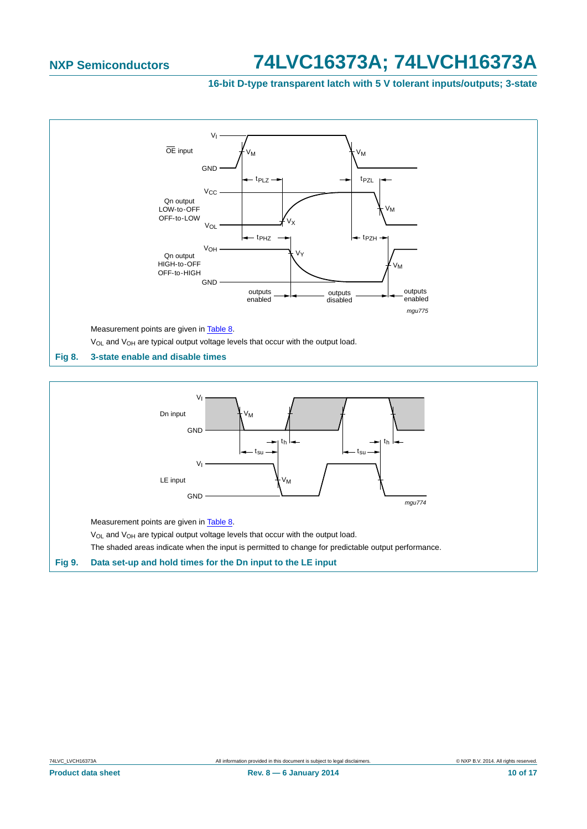**16-bit D-type transparent latch with 5 V tolerant inputs/outputs; 3-state**



<span id="page-9-1"></span><span id="page-9-0"></span>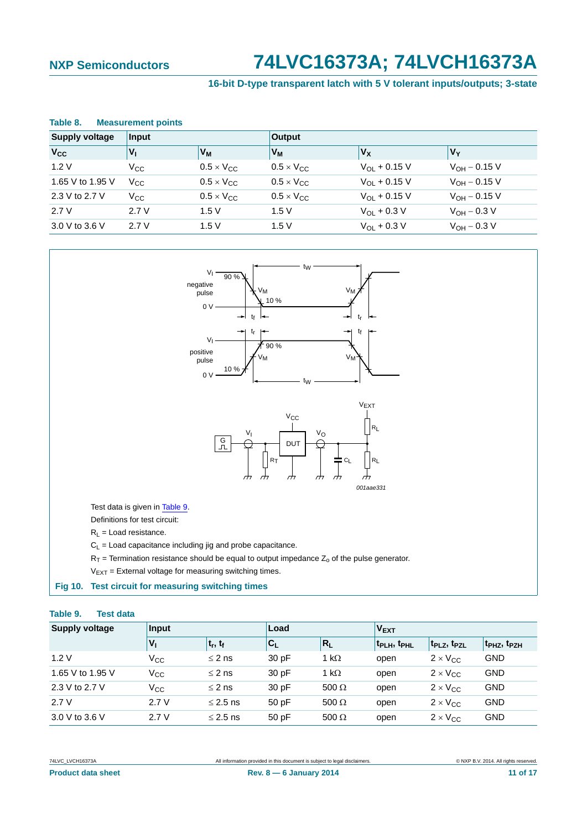### **16-bit D-type transparent latch with 5 V tolerant inputs/outputs; 3-state**

#### <span id="page-10-1"></span>**Table 8. Measurement points**

| <b>Supply voltage</b> | Input           |                     | <b>Output</b>              |                         |                      |  |
|-----------------------|-----------------|---------------------|----------------------------|-------------------------|----------------------|--|
| <b>V<sub>cc</sub></b> | $V_{\parallel}$ | Vм                  | V <sub>M</sub>             | V <sub>X</sub>          | <b>V<sub>Y</sub></b> |  |
| 1.2V                  | $V_{\rm CC}$    | $0.5 \times V_{CC}$ | $0.5 \times V_{CC}$        | $V_{\Omega I}$ + 0.15 V | $V_{OH} - 0.15 V$    |  |
| 1.65 V to 1.95 V      | $V_{\rm CC}$    | $0.5 \times V_{CC}$ | $0.5 \times V_{\text{CC}}$ | $V_{\Omega I}$ + 0.15 V | $V_{OH} - 0.15 V$    |  |
| 2.3 V to 2.7 V        | $V_{\rm CC}$    | $0.5 \times V_{CC}$ | $0.5 \times V_{\text{CC}}$ | $V_{\Omega I}$ + 0.15 V | $V_{OH} - 0.15 V$    |  |
| 2.7V                  | 2.7V            | 1.5V                | 1.5V                       | $V_{OL}$ + 0.3 V        | $V_{OH} - 0.3 V$     |  |
| 3.0 V to 3.6 V        | 2.7V            | 1.5V                | 1.5V                       | $V_{OL}$ + 0.3 V        | $V_{OH} - 0.3 V$     |  |



#### <span id="page-10-2"></span><span id="page-10-0"></span>**Table 9. Test data**

| <b>Supply voltage</b> | Input        |               | Load  |              | <b>VEXT</b>                         |                                     |                                     |
|-----------------------|--------------|---------------|-------|--------------|-------------------------------------|-------------------------------------|-------------------------------------|
|                       | $V_1$        | $ t_r, t_f $  | $C_L$ | $R_L$        | t <sub>PLH</sub> , t <sub>PHL</sub> | t <sub>PLZ</sub> , t <sub>PZL</sub> | t <sub>PHZ</sub> , t <sub>PZH</sub> |
| 1.2V                  | $V_{\rm CC}$ | $\leq$ 2 ns   | 30 pF | 1 k $\Omega$ | open                                | $2 \times V_{CC}$                   | <b>GND</b>                          |
| 1.65 V to 1.95 V      | $V_{\rm CC}$ | $\leq$ 2 ns   | 30pF  | 1 k $\Omega$ | open                                | $2 \times V_{CC}$                   | <b>GND</b>                          |
| 2.3 V to 2.7 V        | $V_{\rm CC}$ | $\leq$ 2 ns   | 30pF  | $500 \Omega$ | open                                | $2 \times V_{CC}$                   | <b>GND</b>                          |
| 2.7V                  | 2.7V         | $\leq$ 2.5 ns | 50pF  | 500 $\Omega$ | open                                | $2 \times V_{CC}$                   | <b>GND</b>                          |
| 3.0 V to 3.6 V        | 2.7V         | $\leq$ 2.5 ns | 50 pF | 500 $\Omega$ | open                                | $2 \times V_{CC}$                   | <b>GND</b>                          |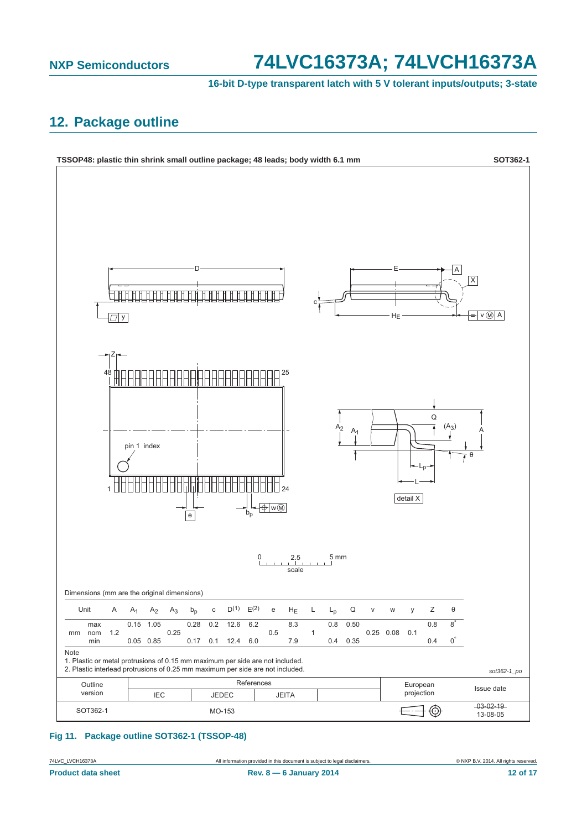**16-bit D-type transparent latch with 5 V tolerant inputs/outputs; 3-state**

## <span id="page-11-0"></span>**12. Package outline**



#### **Fig 11. Package outline SOT362-1 (TSSOP-48)**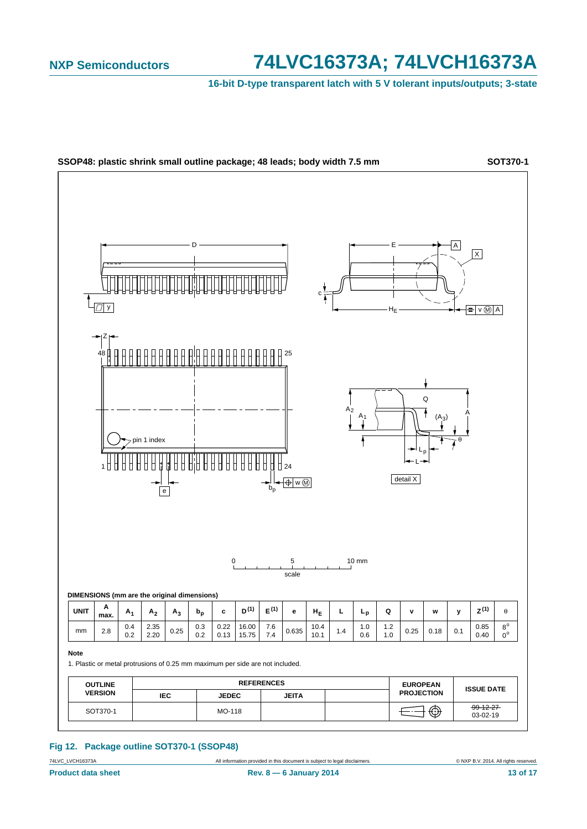**16-bit D-type transparent latch with 5 V tolerant inputs/outputs; 3-state**



#### **Fig 12. Package outline SOT370-1 (SSOP48)**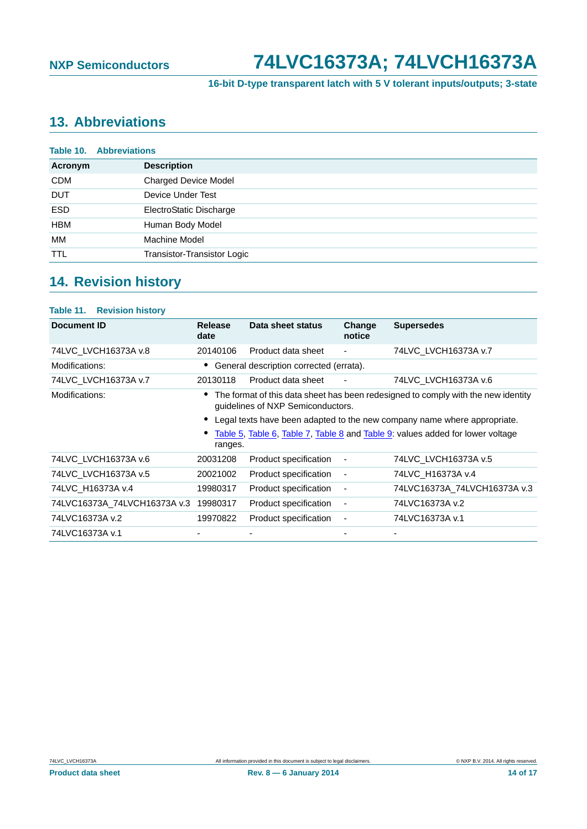**16-bit D-type transparent latch with 5 V tolerant inputs/outputs; 3-state**

# <span id="page-13-0"></span>**13. Abbreviations**

|            | <b>Table 10. Abbreviations</b> |
|------------|--------------------------------|
| Acronym    | <b>Description</b>             |
| <b>CDM</b> | <b>Charged Device Model</b>    |
| <b>DUT</b> | Device Under Test              |
| <b>ESD</b> | ElectroStatic Discharge        |
| <b>HBM</b> | Human Body Model               |
| МM         | Machine Model                  |
| <b>TTL</b> | Transistor-Transistor Logic    |

# <span id="page-13-1"></span>**14. Revision history**

| <b>Table 11. Revision history</b> |                                                                                                                        |                                         |                          |                                                                                |
|-----------------------------------|------------------------------------------------------------------------------------------------------------------------|-----------------------------------------|--------------------------|--------------------------------------------------------------------------------|
| <b>Document ID</b>                | <b>Release</b><br>date                                                                                                 | Data sheet status                       | Change<br>notice         | <b>Supersedes</b>                                                              |
| 74LVC_LVCH16373A v.8              | 20140106                                                                                                               | Product data sheet                      | $\overline{\phantom{a}}$ | 74LVC_LVCH16373A v.7                                                           |
| Modifications:                    |                                                                                                                        | General description corrected (errata). |                          |                                                                                |
| 74LVC LVCH16373A v.7              | 20130118                                                                                                               | Product data sheet                      |                          | 74LVC LVCH16373A v.6                                                           |
| Modifications:                    | The format of this data sheet has been redesigned to comply with the new identity<br>guidelines of NXP Semiconductors. |                                         |                          |                                                                                |
|                                   |                                                                                                                        |                                         |                          | Legal texts have been adapted to the new company name where appropriate.       |
|                                   | ranges.                                                                                                                |                                         |                          | Table 5, Table 6, Table 7, Table 8 and Table 9: values added for lower voltage |
| 74LVC_LVCH16373A v.6              | 20031208                                                                                                               | Product specification                   |                          | 74LVC LVCH16373A v.5                                                           |
| 74LVC LVCH16373A v.5              | 20021002                                                                                                               | Product specification                   | $\overline{a}$           | 74LVC H16373A v.4                                                              |
| 74LVC H16373A v.4                 | 19980317                                                                                                               | Product specification                   |                          | 74LVC16373A 74LVCH16373A v.3                                                   |
| 74LVC16373A 74LVCH16373A v.3      | 19980317                                                                                                               | Product specification                   |                          | 74LVC16373A v.2                                                                |
| 74LVC16373A v.2                   | 19970822                                                                                                               | Product specification                   | ٠                        | 74LVC16373A v.1                                                                |
| 74LVC16373A v.1                   |                                                                                                                        |                                         |                          |                                                                                |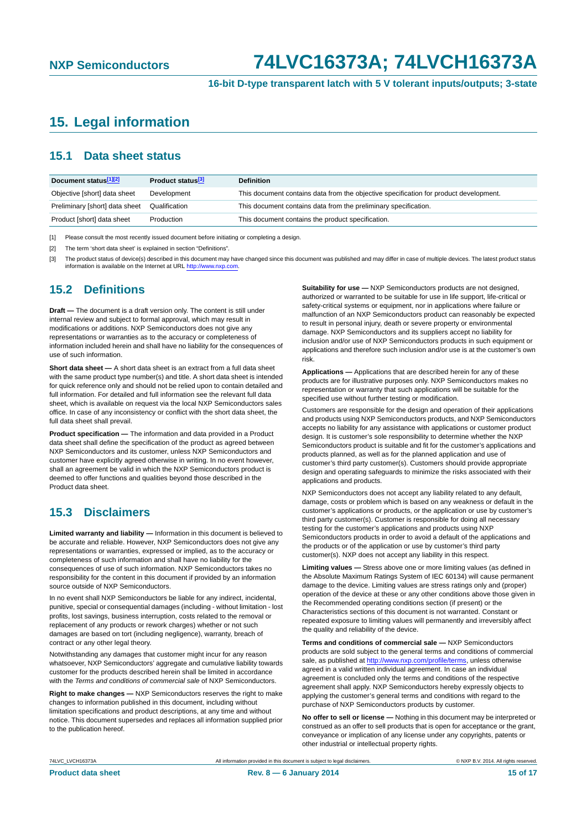**16-bit D-type transparent latch with 5 V tolerant inputs/outputs; 3-state**

## <span id="page-14-3"></span>**15. Legal information**

### <span id="page-14-4"></span>**15.1 Data sheet status**

| Document status[1][2]          | Product status <sup>[3]</sup> | <b>Definition</b>                                                                     |
|--------------------------------|-------------------------------|---------------------------------------------------------------------------------------|
| Objective [short] data sheet   | Development                   | This document contains data from the objective specification for product development. |
| Preliminary [short] data sheet | Qualification                 | This document contains data from the preliminary specification.                       |
| Product [short] data sheet     | Production                    | This document contains the product specification.                                     |

<span id="page-14-0"></span>[1] Please consult the most recently issued document before initiating or completing a design.

<span id="page-14-1"></span>[2] The term 'short data sheet' is explained in section "Definitions".

<span id="page-14-2"></span>[3] The product status of device(s) described in this document may have changed since this document was published and may differ in case of multiple devices. The latest product status<br>information is available on the Intern

### <span id="page-14-5"></span>**15.2 Definitions**

**Draft —** The document is a draft version only. The content is still under internal review and subject to formal approval, which may result in modifications or additions. NXP Semiconductors does not give any representations or warranties as to the accuracy or completeness of information included herein and shall have no liability for the consequences of use of such information.

**Short data sheet —** A short data sheet is an extract from a full data sheet with the same product type number(s) and title. A short data sheet is intended for quick reference only and should not be relied upon to contain detailed and full information. For detailed and full information see the relevant full data sheet, which is available on request via the local NXP Semiconductors sales office. In case of any inconsistency or conflict with the short data sheet, the full data sheet shall prevail.

**Product specification —** The information and data provided in a Product data sheet shall define the specification of the product as agreed between NXP Semiconductors and its customer, unless NXP Semiconductors and customer have explicitly agreed otherwise in writing. In no event however, shall an agreement be valid in which the NXP Semiconductors product is deemed to offer functions and qualities beyond those described in the Product data sheet.

### <span id="page-14-6"></span>**15.3 Disclaimers**

**Limited warranty and liability —** Information in this document is believed to be accurate and reliable. However, NXP Semiconductors does not give any representations or warranties, expressed or implied, as to the accuracy or completeness of such information and shall have no liability for the consequences of use of such information. NXP Semiconductors takes no responsibility for the content in this document if provided by an information source outside of NXP Semiconductors.

In no event shall NXP Semiconductors be liable for any indirect, incidental, punitive, special or consequential damages (including - without limitation - lost profits, lost savings, business interruption, costs related to the removal or replacement of any products or rework charges) whether or not such damages are based on tort (including negligence), warranty, breach of contract or any other legal theory.

Notwithstanding any damages that customer might incur for any reason whatsoever, NXP Semiconductors' aggregate and cumulative liability towards customer for the products described herein shall be limited in accordance with the *Terms and conditions of commercial sale* of NXP Semiconductors.

**Right to make changes —** NXP Semiconductors reserves the right to make changes to information published in this document, including without limitation specifications and product descriptions, at any time and without notice. This document supersedes and replaces all information supplied prior to the publication hereof.

**Suitability for use —** NXP Semiconductors products are not designed, authorized or warranted to be suitable for use in life support, life-critical or safety-critical systems or equipment, nor in applications where failure or malfunction of an NXP Semiconductors product can reasonably be expected to result in personal injury, death or severe property or environmental damage. NXP Semiconductors and its suppliers accept no liability for inclusion and/or use of NXP Semiconductors products in such equipment or applications and therefore such inclusion and/or use is at the customer's own risk.

**Applications —** Applications that are described herein for any of these products are for illustrative purposes only. NXP Semiconductors makes no representation or warranty that such applications will be suitable for the specified use without further testing or modification.

Customers are responsible for the design and operation of their applications and products using NXP Semiconductors products, and NXP Semiconductors accepts no liability for any assistance with applications or customer product design. It is customer's sole responsibility to determine whether the NXP Semiconductors product is suitable and fit for the customer's applications and products planned, as well as for the planned application and use of customer's third party customer(s). Customers should provide appropriate design and operating safeguards to minimize the risks associated with their applications and products.

NXP Semiconductors does not accept any liability related to any default, damage, costs or problem which is based on any weakness or default in the customer's applications or products, or the application or use by customer's third party customer(s). Customer is responsible for doing all necessary testing for the customer's applications and products using NXP Semiconductors products in order to avoid a default of the applications and the products or of the application or use by customer's third party customer(s). NXP does not accept any liability in this respect.

**Limiting values —** Stress above one or more limiting values (as defined in the Absolute Maximum Ratings System of IEC 60134) will cause permanent damage to the device. Limiting values are stress ratings only and (proper) operation of the device at these or any other conditions above those given in the Recommended operating conditions section (if present) or the Characteristics sections of this document is not warranted. Constant or repeated exposure to limiting values will permanently and irreversibly affect the quality and reliability of the device.

**Terms and conditions of commercial sale —** NXP Semiconductors products are sold subject to the general terms and conditions of commercial sale, as published at<http://www.nxp.com/profile/terms>, unless otherwise agreed in a valid written individual agreement. In case an individual agreement is concluded only the terms and conditions of the respective agreement shall apply. NXP Semiconductors hereby expressly objects to applying the customer's general terms and conditions with regard to the purchase of NXP Semiconductors products by customer.

**No offer to sell or license —** Nothing in this document may be interpreted or construed as an offer to sell products that is open for acceptance or the grant, conveyance or implication of any license under any copyrights, patents or other industrial or intellectual property rights.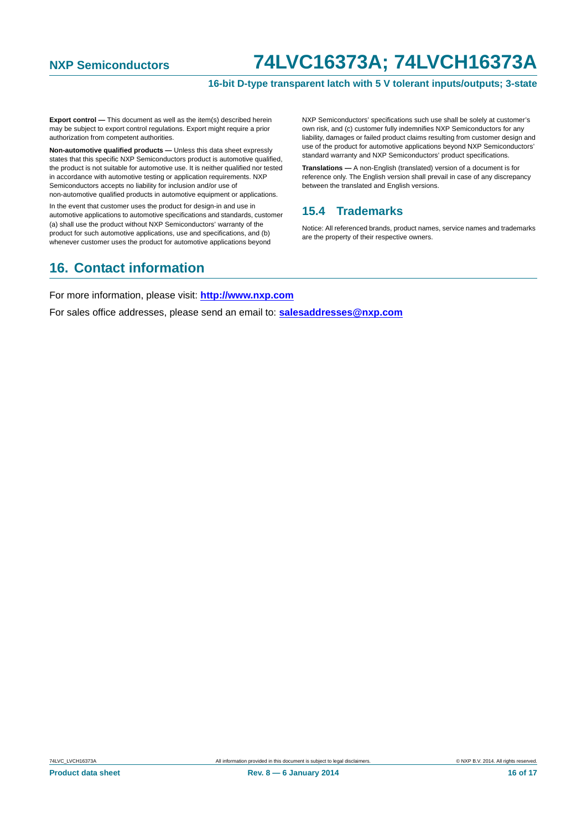#### **16-bit D-type transparent latch with 5 V tolerant inputs/outputs; 3-state**

**Export control —** This document as well as the item(s) described herein may be subject to export control regulations. Export might require a prior authorization from competent authorities.

**Non-automotive qualified products —** Unless this data sheet expressly states that this specific NXP Semiconductors product is automotive qualified, the product is not suitable for automotive use. It is neither qualified nor tested in accordance with automotive testing or application requirements. NXP Semiconductors accepts no liability for inclusion and/or use of non-automotive qualified products in automotive equipment or applications.

In the event that customer uses the product for design-in and use in automotive applications to automotive specifications and standards, customer (a) shall use the product without NXP Semiconductors' warranty of the product for such automotive applications, use and specifications, and (b) whenever customer uses the product for automotive applications beyond

NXP Semiconductors' specifications such use shall be solely at customer's own risk, and (c) customer fully indemnifies NXP Semiconductors for any liability, damages or failed product claims resulting from customer design and use of the product for automotive applications beyond NXP Semiconductors' standard warranty and NXP Semiconductors' product specifications.

**Translations —** A non-English (translated) version of a document is for reference only. The English version shall prevail in case of any discrepancy between the translated and English versions.

### <span id="page-15-0"></span>**15.4 Trademarks**

Notice: All referenced brands, product names, service names and trademarks are the property of their respective owners.

### <span id="page-15-1"></span>**16. Contact information**

For more information, please visit: **http://www.nxp.com**

For sales office addresses, please send an email to: **salesaddresses@nxp.com**